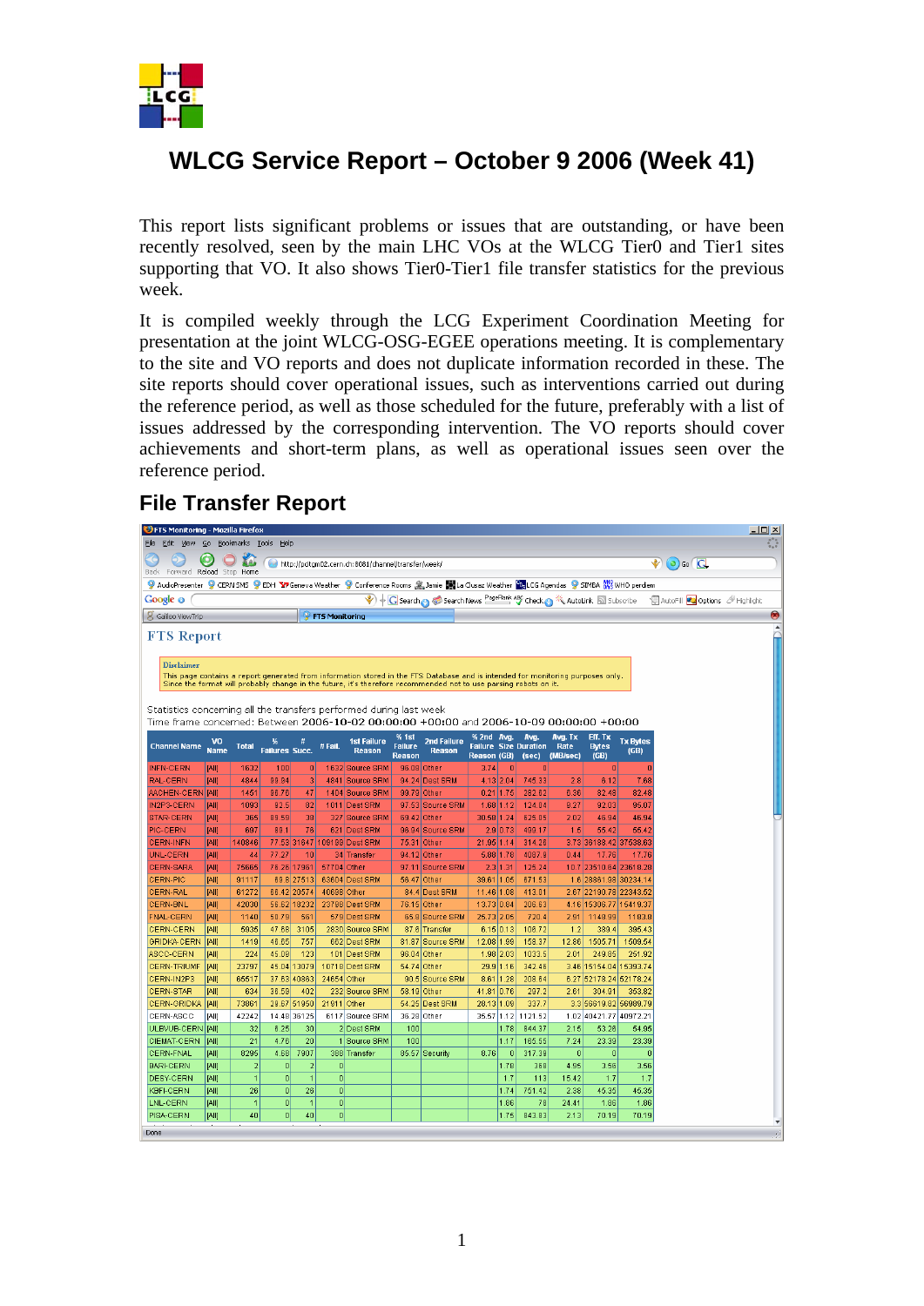

## **WLCG Service Report – October 9 2006 (Week 41)**

This report lists significant problems or issues that are outstanding, or have been recently resolved, seen by the main LHC VOs at the WLCG Tier0 and Tier1 sites supporting that VO. It also shows Tier0-Tier1 file transfer statistics for the previous week.

It is compiled weekly through the LCG Experiment Coordination Meeting for presentation at the joint WLCG-OSG-EGEE operations meeting. It is complementary to the site and VO reports and does not duplicate information recorded in these. The site reports should cover operational issues, such as interventions carried out during the reference period, as well as those scheduled for the future, preferably with a list of issues addressed by the corresponding intervention. The VO reports should cover achievements and short-term plans, as well as operational issues seen over the reference period.

## **File Transfer Report**

| $-10x$<br><b>DFTS Monitoring - Mozilla Firefox</b>                                                                                                                                                       |                      |                |                            |                            |                         |                                     |                |                                     |                          |                            |                              |              |                                                 |                         |  |   |
|----------------------------------------------------------------------------------------------------------------------------------------------------------------------------------------------------------|----------------------|----------------|----------------------------|----------------------------|-------------------------|-------------------------------------|----------------|-------------------------------------|--------------------------|----------------------------|------------------------------|--------------|-------------------------------------------------|-------------------------|--|---|
| Edit View Go Bookmarks Tools Help<br>Eile                                                                                                                                                                |                      |                |                            |                            |                         |                                     |                |                                     |                          |                            |                              |              |                                                 |                         |  |   |
| Θ<br><b>Neb</b><br>http://pcitgm02.cern.ch:8081/channel/transfer/week/<br>Forward Reload Stop Home<br>Back                                                                                               |                      |                |                            |                            |                         |                                     |                |                                     |                          | $\bullet$ 0 Go $\boxed{G}$ |                              |              |                                                 |                         |  |   |
| 9 AudioPresenter 9 CERN SMS 9 EDH Y7Geneva Weather 9 Conference Rooms 奥Jamie 関La Clusaz Weather FasLCG Agendas 9 SIMBA 8 WHO perdiem                                                                     |                      |                |                            |                            |                         |                                     |                |                                     |                          |                            |                              |              |                                                 |                         |  |   |
| $\bigcirc$ Search $\bigcirc$ Search News $\frac{\text{PageRank} \cdot \text{MS}}{2}$ Check $\bigcirc$ $\mathbb{R}$ AutoLink $\text{M}$ Subscribe<br>· AutoFill 22 Options <b>A</b> Highlight<br>Google o |                      |                |                            |                            |                         |                                     |                |                                     |                          |                            |                              |              |                                                 |                         |  |   |
| S Galileo ViewTrip                                                                                                                                                                                       |                      |                |                            |                            | <b>P</b> FTS Monitoring |                                     |                |                                     |                          |                            |                              |              |                                                 |                         |  | ◉ |
|                                                                                                                                                                                                          |                      |                |                            |                            |                         |                                     |                |                                     |                          |                            |                              |              |                                                 |                         |  |   |
| <b>FTS Report</b>                                                                                                                                                                                        |                      |                |                            |                            |                         |                                     |                |                                     |                          |                            |                              |              |                                                 |                         |  |   |
| <b>Disclaimer</b>                                                                                                                                                                                        |                      |                |                            |                            |                         |                                     |                |                                     |                          |                            |                              |              |                                                 |                         |  |   |
| This page contains a report generated from information stored in the FTS Database and is intended for monitoring purposes only.                                                                          |                      |                |                            |                            |                         |                                     |                |                                     |                          |                            |                              |              |                                                 |                         |  |   |
| Since the format will probably change in the future, it's therefore recommended not to use parsing robots on it.                                                                                         |                      |                |                            |                            |                         |                                     |                |                                     |                          |                            |                              |              |                                                 |                         |  |   |
| Statistics concerning all the transfers performed during last week                                                                                                                                       |                      |                |                            |                            |                         |                                     |                |                                     |                          |                            |                              |              |                                                 |                         |  |   |
| Time frame concerned: Between 2006-10-02 00:00:00 +00:00 and 2006-10-09 00:00:00 +00:00                                                                                                                  |                      |                |                            |                            |                         |                                     |                |                                     |                          |                            |                              |              |                                                 |                         |  |   |
|                                                                                                                                                                                                          |                      |                |                            |                            |                         |                                     | % 1st          |                                     | % 2nd Avg.               |                            | Avg.                         | Avg. Tx      | Eff. Tx                                         |                         |  |   |
| <b>Channel Name</b>                                                                                                                                                                                      | VO<br><b>Name</b>    | <b>Total</b>   | %<br><b>Failures Succ.</b> | Ħ,                         | #Fail.                  | <b>1st Failure</b><br><b>Reason</b> | <b>Failure</b> | <b>2nd Failure</b><br><b>Reason</b> |                          |                            | <b>Failure Size Duration</b> | Rate         | <b>Bytes</b>                                    | <b>Tx Bytes</b><br>(GB) |  |   |
|                                                                                                                                                                                                          |                      |                |                            |                            |                         |                                     | <b>Reason</b>  |                                     | <b>Reason (GB)</b>       |                            | (sec)                        | (MB/sec)     | (GB)                                            |                         |  |   |
| <b>INFN-CERN</b>                                                                                                                                                                                         | <b>IAII</b>          | 1632           | 100                        | $\vert 0 \vert$            |                         | 1632 Source SRM                     | 96.08 Other    |                                     | 3.74                     | $\bf{0}$                   | $\Omega$                     |              | $\bf{0}$                                        |                         |  |   |
| <b>RAL-CERN</b>                                                                                                                                                                                          | [All]                | 4844           | 99.94                      | в                          |                         | 4841 Source SRM                     |                | 94.24 Dest SRM                      | 4.13 2.04                |                            | 745.33                       | 2.8          | 6.12                                            | 7.68                    |  |   |
| <b>AACHEN-CERN [AII]</b>                                                                                                                                                                                 |                      | 1451           | 96.76                      | 47                         |                         | 1404 Source SRM                     | 99.79 Other    |                                     | $0.21$ 1.75              |                            | 282.62                       | 6.36         | 82.48                                           | 82.48                   |  |   |
| IN2P3-CERN<br>STAR-CERN                                                                                                                                                                                  | [All]<br><b>JAII</b> | 1093<br>365    | 92.5<br>89.59              | 82<br>38                   |                         | 1011 Dest SRM<br>327 Source SRM     | 69.42 Other    | 97.53 Source SRM                    | 1.68 1.12<br>30.58 1.24  |                            | 124.04<br>625.05             | 9.27<br>2.02 | 92.03<br>46.94                                  | 95.07<br>46.94          |  |   |
| PIC-CERN                                                                                                                                                                                                 | <b>IAII</b>          | 697            | 89.1                       | 76                         |                         | 621 Dest SRM                        |                | 96.94 Source SRM                    |                          | 2.9 0.73                   | 499.17                       | 1.5          | 55.42                                           | 55.42                   |  |   |
| <b>CERN-INFN</b>                                                                                                                                                                                         | <b>IAII</b>          | 140846         |                            |                            |                         | 77.53 31647 109199 Dest SRM         | 75.31 Other    |                                     | 21.95 1.14               |                            | 314.26                       |              | 3.73 36188.42 37538.63                          |                         |  |   |
| UNL-CERN                                                                                                                                                                                                 | <b>IAII</b>          | 44             | 77.27                      | 10                         |                         | 34 Transfer                         | 94.12 Other    |                                     | 5.88 1.78                |                            | 4087.9                       | 0.44         | 17.76                                           | 17.76                   |  |   |
| CERN-SARA                                                                                                                                                                                                | iaii                 | 75665          |                            | 76.26 17961                | 57704 Other             |                                     |                | 97.11 Source SRM                    |                          | 2.3 1.31                   | 125.24                       |              | 10.7 23510.64 23618.28                          |                         |  |   |
| <b>CERN-PIC</b>                                                                                                                                                                                          | [All]                | 91117          |                            | 69.8 27513                 |                         | 63604 Dest SRM                      | 56.47 Other    |                                     | 39.61 1.05               |                            | 671.53                       |              | 1.6 28861.98 30234.14                           |                         |  |   |
| <b>CERN-RAL</b>                                                                                                                                                                                          | <b>JAIII</b>         | 61272          |                            | 66.42 20574                | 40698 Other             |                                     |                | 84.4 Dest SRM                       | 11.46 1.08               |                            | 413.01                       |              | 2.67 22190.78 22343.52                          |                         |  |   |
| <b>CERN-BNL</b>                                                                                                                                                                                          | <b>TAIT</b>          | 42030          |                            | 56.62 18232                |                         | 23798 Dest SRM                      | 76.15 Other    |                                     | 13.73 0.84               |                            | 206.63                       |              | 4.16 15306.77 15419.37                          |                         |  |   |
| <b>FNAL-CERN</b>                                                                                                                                                                                         | <b>TAIT</b>          | 1140           | 50.79                      | 561                        |                         | 579 Dest SRM                        |                | 65.8 Source SRM                     | 25.73 2.05               |                            | 720.4                        | 2.91         | 1148.99                                         | 1183.8                  |  |   |
| <b>CERN-CERN</b>                                                                                                                                                                                         | <b>JAIII</b>         | 5935           | 47.68                      | 3105                       |                         | 2830 Source SRM                     |                | 87.6 Transfer                       | 6.15 0.13                |                            | 106.72                       | 1.2          | 389.4                                           | 395.43                  |  |   |
| GRIDKA-CERN                                                                                                                                                                                              | <b>TAIT</b>          | 1419           | 46.65                      | 757                        |                         | 662 Dest SRM                        |                | 81.87 Source SRM                    | 12.08 1.99               |                            | 158.37                       | 12.86        | 1505.71                                         | 1509.54                 |  |   |
| ASCC-CERN                                                                                                                                                                                                | <b>IAIII</b>         | 224            | 45.09                      | 123                        |                         | 101 Dest SRM                        | 96.04 Other    |                                     | 1.98 2.03                |                            | 1033.5                       | 2.01         | 249.85                                          | 251.92                  |  |   |
| <b>CERN-TRIUMF</b>                                                                                                                                                                                       | [All]                | 23797          |                            | 45.04 13079                |                         | 10718 Dest SRM                      | 54.74 Other    |                                     | 29.9 1.16                |                            | 342.46                       |              | 3.46 15154.04 15393.74                          |                         |  |   |
| CERN-IN2P3                                                                                                                                                                                               | [All]                | 65517          |                            | 37.63 40863                | 24654 Other             |                                     |                | 90.5 Source SRM                     | 8.61                     | 1.28                       | 208.64                       |              | 6.27 52178.24 52178.24                          |                         |  |   |
| CERN-STAR                                                                                                                                                                                                | [All]                | 634            | 36.59                      | 402                        |                         | 232 Source SRM                      | 58.19 Other    |                                     | 41.81 0.76               |                            | 297.2                        | 2.61         | 304.91                                          | 353.82                  |  |   |
| CERN-GRIDKA<br>CERN-ASCC                                                                                                                                                                                 | [AII]<br>[All]       | 73861<br>42242 |                            | 29.67 51950<br>14.48 36125 | 21911 Other             | 6117 Source SRM                     | 36.28 Other    | 54.25 Dest SRM                      | 28.13 1.09<br>35.57 1.12 |                            | 337.7<br>1121.52             |              | 3.3 56619.82 56989.79<br>1.02 40421.77 40972.21 |                         |  |   |
| ULBVUB-CERN                                                                                                                                                                                              | [All]                | 32             | 6.25                       | 30                         |                         | 2 Dest SRM                          | 100            |                                     |                          | 1.78                       | 844.37                       | 2.15         | 53.26                                           | 54.95                   |  |   |
| CIEMAT-CERN                                                                                                                                                                                              | [AII]                | 21             | 4.76                       | 20                         |                         | 1 Source SRM                        | 100            |                                     |                          | 1.17                       | 165.55                       | 7.24         | 23.39                                           | 23.39                   |  |   |
| <b>CERN-FNAL</b>                                                                                                                                                                                         | [All]                | 8295           | 4.68                       | 7907                       |                         | 388 Transfer                        |                | 85.57 Security                      | 8.76                     | $\bf{0}$                   | 317.39                       | $\bf{0}$     | $\mathbf{0}$                                    | $\bf{0}$                |  |   |
| <b>BARI-CERN</b>                                                                                                                                                                                         | [All]                | $\overline{a}$ | $\mathbf{0}$               | $\overline{2}$             | $\overline{0}$          |                                     |                |                                     |                          | 1.78                       | 368                          | 4.95         | 3.56                                            | 3.56                    |  |   |
| <b>DESY-CERN</b>                                                                                                                                                                                         | <b>JAII</b>          | $\overline{1}$ | $\overline{0}$             | $\overline{1}$             | $\overline{0}$          |                                     |                |                                     |                          | 1.7                        | 113                          | 15.42        | 1.7                                             | 1,7                     |  |   |
| <b>KBFI-CERN</b>                                                                                                                                                                                         | [All]                | 26             | $\bf{0}$                   | 26                         | $\overline{0}$          |                                     |                |                                     |                          | 1.74                       | 751.42                       | 2.38         | 45.35                                           | 45.35                   |  |   |
| LNL-CERN                                                                                                                                                                                                 | [All]                | $\mathbf{1}$   | $\mathbf{0}$               | $\overline{1}$             | $\overline{0}$          |                                     |                |                                     |                          | 1.86                       | 78                           | 24.41        | 1.86                                            | 1.86                    |  |   |
| PISA-CERN                                                                                                                                                                                                | <b>JAII</b>          | 40             | $\overline{0}$             | 40                         | $\mathbf{0}$            |                                     |                |                                     |                          | 1.75                       | 843.83                       | 2.13         | 70.19                                           | 70.19                   |  |   |
| Done                                                                                                                                                                                                     |                      |                |                            |                            |                         |                                     |                |                                     |                          |                            |                              |              |                                                 |                         |  |   |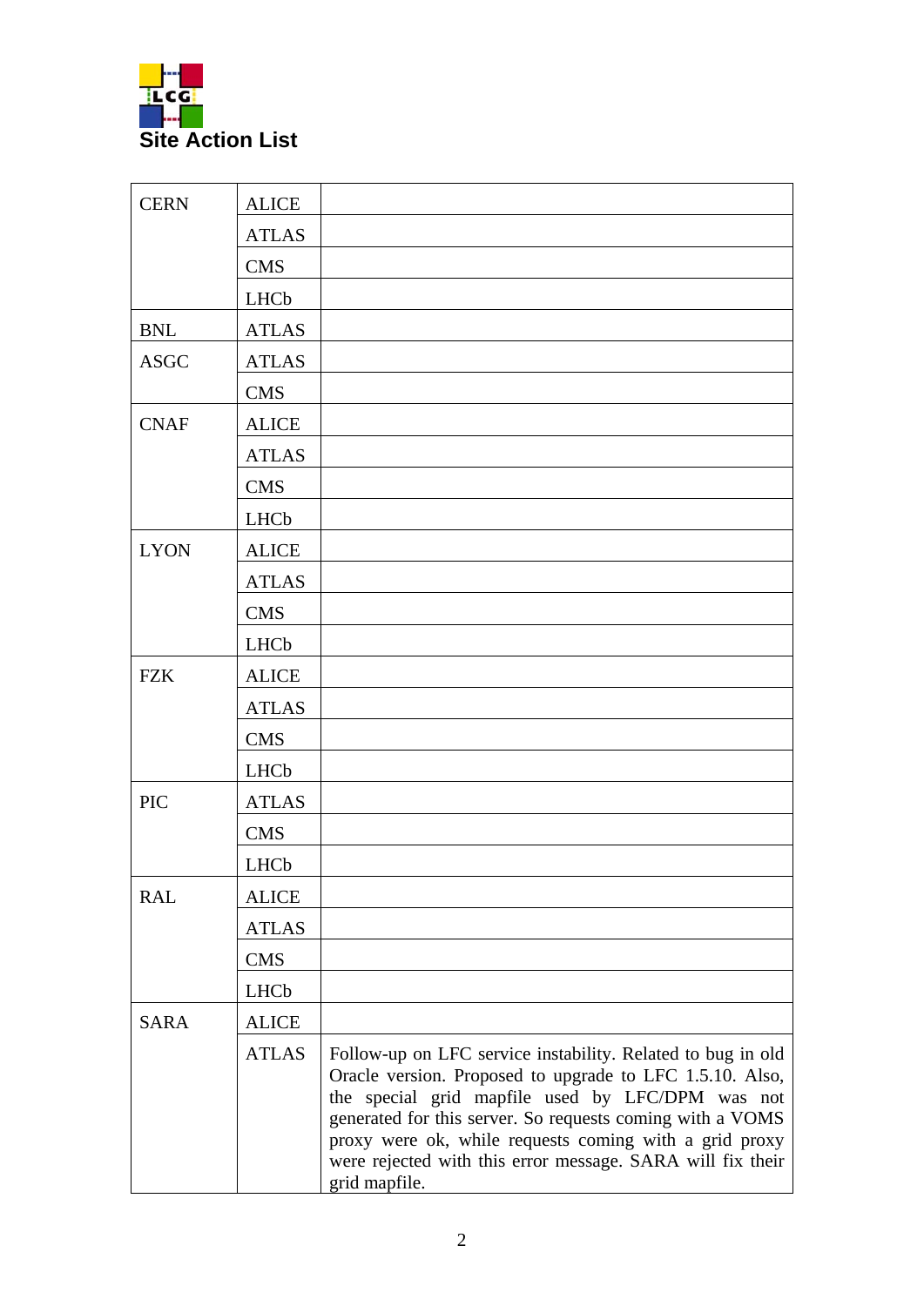

| <b>CERN</b> | <b>ALICE</b> |                                                                                                                                                                                                                                                                                                                                                                                   |
|-------------|--------------|-----------------------------------------------------------------------------------------------------------------------------------------------------------------------------------------------------------------------------------------------------------------------------------------------------------------------------------------------------------------------------------|
|             | <b>ATLAS</b> |                                                                                                                                                                                                                                                                                                                                                                                   |
|             | <b>CMS</b>   |                                                                                                                                                                                                                                                                                                                                                                                   |
|             | <b>LHCb</b>  |                                                                                                                                                                                                                                                                                                                                                                                   |
| <b>BNL</b>  | <b>ATLAS</b> |                                                                                                                                                                                                                                                                                                                                                                                   |
| <b>ASGC</b> | <b>ATLAS</b> |                                                                                                                                                                                                                                                                                                                                                                                   |
|             | <b>CMS</b>   |                                                                                                                                                                                                                                                                                                                                                                                   |
| <b>CNAF</b> | <b>ALICE</b> |                                                                                                                                                                                                                                                                                                                                                                                   |
|             | <b>ATLAS</b> |                                                                                                                                                                                                                                                                                                                                                                                   |
|             | <b>CMS</b>   |                                                                                                                                                                                                                                                                                                                                                                                   |
|             | LHCb         |                                                                                                                                                                                                                                                                                                                                                                                   |
| <b>LYON</b> | <b>ALICE</b> |                                                                                                                                                                                                                                                                                                                                                                                   |
|             | <b>ATLAS</b> |                                                                                                                                                                                                                                                                                                                                                                                   |
|             | <b>CMS</b>   |                                                                                                                                                                                                                                                                                                                                                                                   |
|             | LHCb         |                                                                                                                                                                                                                                                                                                                                                                                   |
| <b>FZK</b>  | <b>ALICE</b> |                                                                                                                                                                                                                                                                                                                                                                                   |
|             | <b>ATLAS</b> |                                                                                                                                                                                                                                                                                                                                                                                   |
|             | <b>CMS</b>   |                                                                                                                                                                                                                                                                                                                                                                                   |
|             | LHCb         |                                                                                                                                                                                                                                                                                                                                                                                   |
| <b>PIC</b>  | <b>ATLAS</b> |                                                                                                                                                                                                                                                                                                                                                                                   |
|             | <b>CMS</b>   |                                                                                                                                                                                                                                                                                                                                                                                   |
|             | LHCb         |                                                                                                                                                                                                                                                                                                                                                                                   |
| <b>RAL</b>  | <b>ALICE</b> |                                                                                                                                                                                                                                                                                                                                                                                   |
|             | <b>ATLAS</b> |                                                                                                                                                                                                                                                                                                                                                                                   |
|             | <b>CMS</b>   |                                                                                                                                                                                                                                                                                                                                                                                   |
|             | LHCb         |                                                                                                                                                                                                                                                                                                                                                                                   |
| <b>SARA</b> | <b>ALICE</b> |                                                                                                                                                                                                                                                                                                                                                                                   |
|             | <b>ATLAS</b> | Follow-up on LFC service instability. Related to bug in old<br>Oracle version. Proposed to upgrade to LFC 1.5.10. Also,<br>the special grid mapfile used by LFC/DPM was not<br>generated for this server. So requests coming with a VOMS<br>proxy were ok, while requests coming with a grid proxy<br>were rejected with this error message. SARA will fix their<br>grid mapfile. |